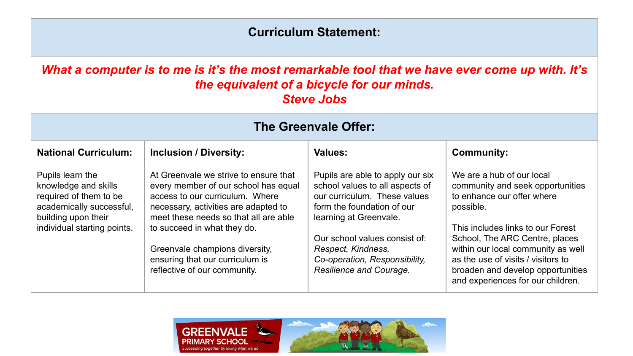## **Curriculum Statement:**

*What a computer is to me is it's the most remarkable tool that we have ever come up with. It's the equivalent of a bicycle for our minds. Steve Jobs*

| <b>The Greenvale Offer:</b>                                                                                                                          |                                                                                                                                                                                                                                                                                                                                       |                                                                                                                                                                                                                                                                                |                                                                                                                                                                                                                                                                                                                                       |  |  |
|------------------------------------------------------------------------------------------------------------------------------------------------------|---------------------------------------------------------------------------------------------------------------------------------------------------------------------------------------------------------------------------------------------------------------------------------------------------------------------------------------|--------------------------------------------------------------------------------------------------------------------------------------------------------------------------------------------------------------------------------------------------------------------------------|---------------------------------------------------------------------------------------------------------------------------------------------------------------------------------------------------------------------------------------------------------------------------------------------------------------------------------------|--|--|
| <b>National Curriculum:</b>                                                                                                                          | <b>Inclusion / Diversity:</b>                                                                                                                                                                                                                                                                                                         | <b>Values:</b>                                                                                                                                                                                                                                                                 | <b>Community:</b>                                                                                                                                                                                                                                                                                                                     |  |  |
| Pupils learn the<br>knowledge and skills<br>required of them to be<br>academically successful,<br>building upon their<br>individual starting points. | At Greenvale we strive to ensure that<br>every member of our school has equal<br>access to our curriculum. Where<br>necessary, activities are adapted to<br>meet these needs so that all are able<br>to succeed in what they do.<br>Greenvale champions diversity,<br>ensuring that our curriculum is<br>reflective of our community. | Pupils are able to apply our six<br>school values to all aspects of<br>our curriculum. These values<br>form the foundation of our<br>learning at Greenvale.<br>Our school values consist of:<br>Respect, Kindness,<br>Co-operation, Responsibility,<br>Resilience and Courage. | We are a hub of our local<br>community and seek opportunities<br>to enhance our offer where<br>possible.<br>This includes links to our Forest<br>School, The ARC Centre, places<br>within our local community as well<br>as the use of visits / visitors to<br>broaden and develop opportunities<br>and experiences for our children. |  |  |

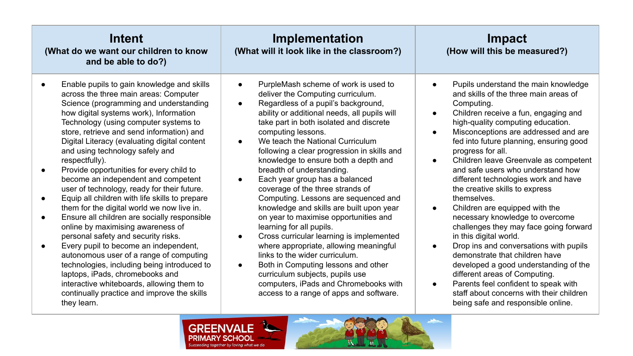| Intent<br>(What do we want our children to know<br>and be able to do?)                                                                                                                                                                                                                                                                                                                                                                                                                                                                                                                                                                                                                                                                                                                                                                                                                                                                                                                                            | Implementation<br>(What will it look like in the classroom?)                                                                                                                                                                                                                                                                                                                                                                                                                                                                                                                                                                                                                                                                                                                                                                                                                                                                                                                                 | Impact<br>(How will this be measured?)                                                                                                                                                                                                                                                                                                                                                                                                                                                                                                                                                                                                                                                                                                                                                                                                                                                                                                                         |  |  |
|-------------------------------------------------------------------------------------------------------------------------------------------------------------------------------------------------------------------------------------------------------------------------------------------------------------------------------------------------------------------------------------------------------------------------------------------------------------------------------------------------------------------------------------------------------------------------------------------------------------------------------------------------------------------------------------------------------------------------------------------------------------------------------------------------------------------------------------------------------------------------------------------------------------------------------------------------------------------------------------------------------------------|----------------------------------------------------------------------------------------------------------------------------------------------------------------------------------------------------------------------------------------------------------------------------------------------------------------------------------------------------------------------------------------------------------------------------------------------------------------------------------------------------------------------------------------------------------------------------------------------------------------------------------------------------------------------------------------------------------------------------------------------------------------------------------------------------------------------------------------------------------------------------------------------------------------------------------------------------------------------------------------------|----------------------------------------------------------------------------------------------------------------------------------------------------------------------------------------------------------------------------------------------------------------------------------------------------------------------------------------------------------------------------------------------------------------------------------------------------------------------------------------------------------------------------------------------------------------------------------------------------------------------------------------------------------------------------------------------------------------------------------------------------------------------------------------------------------------------------------------------------------------------------------------------------------------------------------------------------------------|--|--|
| Enable pupils to gain knowledge and skills<br>across the three main areas: Computer<br>Science (programming and understanding<br>how digital systems work), Information<br>Technology (using computer systems to<br>store, retrieve and send information) and<br>Digital Literacy (evaluating digital content<br>and using technology safely and<br>respectfully).<br>Provide opportunities for every child to<br>become an independent and competent<br>user of technology, ready for their future.<br>Equip all children with life skills to prepare<br>them for the digital world we now live in.<br>Ensure all children are socially responsible<br>online by maximising awareness of<br>personal safety and security risks.<br>Every pupil to become an independent,<br>autonomous user of a range of computing<br>technologies, including being introduced to<br>laptops, iPads, chromebooks and<br>interactive whiteboards, allowing them to<br>continually practice and improve the skills<br>they learn. | PurpleMash scheme of work is used to<br>$\bullet$<br>deliver the Computing curriculum.<br>Regardless of a pupil's background,<br>$\bullet$<br>ability or additional needs, all pupils will<br>take part in both isolated and discrete<br>computing lessons.<br>We teach the National Curriculum<br>$\bullet$<br>following a clear progression in skills and<br>knowledge to ensure both a depth and<br>breadth of understanding.<br>Each year group has a balanced<br>$\bullet$<br>coverage of the three strands of<br>Computing. Lessons are sequenced and<br>knowledge and skills are built upon year<br>on year to maximise opportunities and<br>learning for all pupils.<br>Cross curricular learning is implemented<br>$\bullet$<br>where appropriate, allowing meaningful<br>links to the wider curriculum.<br>Both in Computing lessons and other<br>$\bullet$<br>curriculum subjects, pupils use<br>computers, iPads and Chromebooks with<br>access to a range of apps and software. | Pupils understand the main knowledge<br>$\bullet$<br>and skills of the three main areas of<br>Computing.<br>Children receive a fun, engaging and<br>$\bullet$<br>high-quality computing education.<br>Misconceptions are addressed and are<br>$\bullet$<br>fed into future planning, ensuring good<br>progress for all.<br>Children leave Greenvale as competent<br>$\bullet$<br>and safe users who understand how<br>different technologies work and have<br>the creative skills to express<br>themselves.<br>Children are equipped with the<br>$\bullet$<br>necessary knowledge to overcome<br>challenges they may face going forward<br>in this digital world.<br>Drop ins and conversations with pupils<br>$\bullet$<br>demonstrate that children have<br>developed a good understanding of the<br>different areas of Computing.<br>Parents feel confident to speak with<br>staff about concerns with their children<br>being safe and responsible online. |  |  |
| CDEENN/ALE                                                                                                                                                                                                                                                                                                                                                                                                                                                                                                                                                                                                                                                                                                                                                                                                                                                                                                                                                                                                        |                                                                                                                                                                                                                                                                                                                                                                                                                                                                                                                                                                                                                                                                                                                                                                                                                                                                                                                                                                                              |                                                                                                                                                                                                                                                                                                                                                                                                                                                                                                                                                                                                                                                                                                                                                                                                                                                                                                                                                                |  |  |

GREENVALE **PRIMARY SCHOOL**